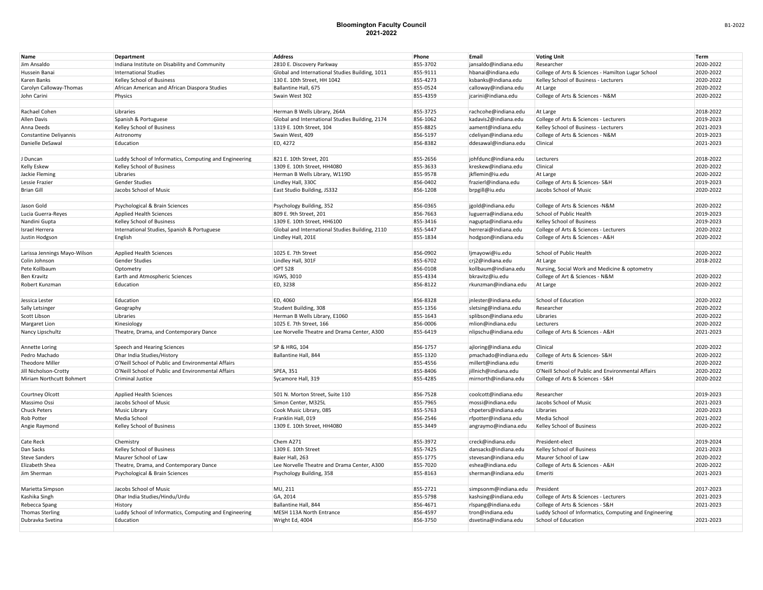## **Bloomington Faculty Council 2021-2022**

| Name                         | Department                                             | <b>Address</b>                                  | Phone                | Email                                        | <b>Voting Unit</b>                                     | Term                   |
|------------------------------|--------------------------------------------------------|-------------------------------------------------|----------------------|----------------------------------------------|--------------------------------------------------------|------------------------|
| Jim Ansaldo                  | Indiana Institute on Disability and Community          | 2810 E. Discovery Parkway                       | 855-3702             | jansaldo@indiana.edu                         | Researcher                                             | 2020-2022              |
| Hussein Banai                | <b>International Studies</b>                           | Global and International Studies Building, 1011 | 855-9111             | hbanai@indiana.edu                           | College of Arts & Sciences - Hamilton Lugar School     | 2020-2022              |
| Karen Banks                  | Kelley School of Business                              | 130 E. 10th Street, HH 1042                     | 855-4273             | ksbanks@indiana.edu                          | Kelley School of Business - Lecturers                  | 2020-2022              |
| Carolyn Calloway-Thomas      | African American and African Diaspora Studies          | Ballantine Hall, 675                            | 855-0524             | calloway@indiana.edu                         | At Large                                               | 2020-2022              |
| John Carini                  | Physics                                                | Swain West 302                                  | 855-4359             | jcarini@indiana.edu                          | College of Arts & Sciences - N&M                       | 2020-2022              |
|                              |                                                        |                                                 |                      |                                              |                                                        |                        |
| Rachael Cohen                | Libraries                                              | Herman B Wells Library, 264A                    | 855-3725             | rachcohe@indiana.edu                         | At Large                                               | 2018-2022              |
| Allen Davis                  | Spanish & Portuguese                                   | Global and International Studies Building, 2174 | 856-1062             | kadavis2@indiana.edu                         | College of Arts & Sciences - Lecturers                 | 2019-2023              |
| Anna Deeds                   | Kelley School of Business                              | 1319 E. 10th Street, 104                        | 855-8825             | aament@indiana.edu                           | Kelley School of Business - Lecturers                  | 2021-2023              |
| Constantine Deliyannis       | Astronomy                                              | Swain West, 409                                 | 856-5197             | cdeliyan@indiana.edu                         | College of Arts & Sciences - N&M                       | 2019-2023              |
| Danielle DeSawal             | Education                                              | ED, 4272                                        | 856-8382             | ddesawal@indiana.edu                         | Clinical                                               | 2021-2023              |
|                              |                                                        |                                                 |                      |                                              |                                                        |                        |
| J Duncan                     | Luddy School of Informatics, Computing and Engineering | 821 E. 10th Street, 201                         | 855-2656             | johfdunc@indiana.edu                         | Lecturers                                              | 2018-2022              |
| Kelly Eskew                  | Kelley School of Business                              | 1309 E. 10th Street, HH4080                     | 855-3633             | kreskew@indiana.edu                          | Clinical                                               | 2020-2022              |
| Jackie Fleming               | Libraries                                              | Herman B Wells Library, W119D                   | 855-9578             | jkflemin@iu.edu                              | At Large                                               | 2020-2022              |
| Lessie Frazier               | <b>Gender Studies</b>                                  | Lindley Hall, 330C                              | 856-0402             | frazierl@indiana.edu                         | College of Arts & Sciences- S&H                        | 2019-2023              |
| <b>Brian Gill</b>            | Jacobs School of Music                                 | East Studio Building, JS332                     | 856-1208             | brpgill@iu.edu                               | Jacobs School of Music                                 | 2020-2022              |
|                              |                                                        |                                                 |                      |                                              |                                                        |                        |
| Jason Gold                   | Psychological & Brain Sciences                         | Psychology Building, 352                        | 856-0365             | jgold@indiana.edu                            | College of Arts & Sciences -N&M                        | 2020-2022              |
| Lucia Guerra-Reyes           | Applied Health Sciences                                | 809 E. 9th Street, 201                          | 856-7663             | luguerra@indiana.edu                         | School of Public Health                                | 2019-2023              |
| Nandini Gupta                | Kelley School of Business                              | 1309 E. 10th Street, HH6100                     | 855-3416             | nagupta@indiana.edu                          | Kelley School of Business                              | 2019-2023              |
| Israel Herrera               | International Studies, Spanish & Portuguese            | Global and International Studies Building, 2110 | 855-5447             | herrerai@indiana.edu                         | College of Arts & Sciences - Lecturers                 | 2020-2022              |
| Justin Hodgson               | English                                                | Lindley Hall, 201E                              | 855-1834             | hodgson@indiana.edu                          | College of Arts & Sciences - A&H                       | 2020-2022              |
|                              |                                                        |                                                 |                      |                                              |                                                        |                        |
| Larissa Jennings Mayo-Wilson | Applied Health Sciences                                | 1025 E. 7th Street                              | 856-0902             | ljmayowi@iu.edu                              | School of Public Health                                | 2020-2022              |
| Colin Johnson                | <b>Gender Studies</b>                                  | Lindley Hall, 301F                              | 855-6702             | crj2@indiana.edu                             | At Large                                               | 2018-2022              |
| Pete Kollbaum                | Optometry                                              | <b>OPT 528</b>                                  | 856-0108             | kollbaum@indiana.edu                         | Nursing, Social Work and Medicine & optometry          |                        |
| Ben Kravitz                  | Earth and Atmospheric Sciences                         | IGWS, 3010                                      | 855-4334             | bkravitz@iu.edu                              | College of Art & Sciences - N&M                        | 2020-2022              |
| Robert Kunzman               | Education                                              | ED, 3238                                        | 856-8122             | rkunzman@indiana.edu                         | At Large                                               | 2020-2022              |
|                              |                                                        |                                                 |                      |                                              |                                                        |                        |
| Jessica Lester               | Education                                              | ED, 4060                                        | 856-8328             | jnlester@indiana.edu                         | School of Education                                    | 2020-2022              |
| Sally Letsinger              | Geography                                              | Student Building, 308                           | 855-1356             | sletsing@indiana.edu                         | Researcher                                             | 2020-2022              |
| Scott Libson                 | Libraries                                              | Herman B Wells Library, E1060                   | 855-1643             | splibson@indiana.edu                         | Libraries                                              | 2020-2022              |
| Margaret Lion                | Kinesiology                                            | 1025 E. 7th Street, 166                         | 856-0006             | mlion@indiana.edu                            | Lecturers                                              | 2020-2022              |
| Nancy Lipschultz             | Theatre, Drama, and Contemporary Dance                 | Lee Norvelle Theatre and Drama Center, A300     | 855-6419             | nlipschu@indiana.edu                         | College of Arts & Sciences - A&H                       | 2021-2023              |
|                              |                                                        |                                                 |                      |                                              |                                                        |                        |
| Annette Loring               | Speech and Hearing Sciences                            | SP & HRG, 104                                   | 856-1757             | ajloring@indiana.edu                         | Clinical                                               | 2020-2022              |
| Pedro Machado                | Dhar India Studies/History                             | Ballantine Hall, 844                            | 855-1320             | pmachado@indiana.edu                         | College of Arts & Sciences- S&H                        | 2020-2022              |
| <b>Theodore Miller</b>       | O'Neill School of Public and Environmental Affairs     |                                                 | 855-4556             | millert@indiana.edu                          | Emeriti                                                | 2020-2022              |
| Jill Nicholson-Crotty        | O'Neill School of Public and Environmental Affairs     | SPEA, 351                                       | 855-8406             |                                              | O'Neill School of Public and Environmental Affairs     | 2020-2022              |
| Miriam Northcutt Bohmert     | <b>Criminal Justice</b>                                | Sycamore Hall, 319                              | 855-4285             | jillnich@indiana.edu<br>mirnorth@indiana.edu | College of Arts & Sciences - S&H                       | 2020-2022              |
|                              |                                                        |                                                 |                      |                                              |                                                        |                        |
|                              | <b>Applied Health Sciences</b>                         | 501 N. Morton Street, Suite 110                 | 856-7528             | coolcott@indiana.edu                         | Researcher                                             | 2019-2023              |
| Courtney Olcott              |                                                        |                                                 |                      |                                              |                                                        |                        |
| Massimo Ossi                 | Jacobs School of Music                                 | Simon Center, M325L                             | 855-7965<br>855-5763 | mossi@indiana.edu                            | Jacobs School of Music<br>Libraries                    | 2021-2023<br>2020-2023 |
| Chuck Peters                 | Music Library                                          | Cook Music Library, 085                         |                      | chpeters@indiana.edu                         |                                                        |                        |
| Rob Potter                   | Media School                                           | Franklin Hall, 019                              | 856-2546             | rfpotter@indiana.edu                         | Media School                                           | 2021-2022              |
| Angie Raymond                | Kelley School of Business                              | 1309 E. 10th Street, HH4080                     | 855-3449             | angraymo@indiana.edu                         | Kelley School of Business                              | 2020-2022              |
|                              |                                                        |                                                 |                      |                                              |                                                        | 2019-2024              |
| Cate Reck                    | Chemistry                                              | Chem A271                                       | 855-3972             | creck@indiana.edu                            | President-elect                                        |                        |
| Dan Sacks                    | Kelley School of Business                              | 1309 E. 10th Street                             | 855-7425             | dansacks@indiana.edu                         | Kelley School of Business                              | 2021-2023              |
| <b>Steve Sanders</b>         | Maurer School of Law                                   | Baier Hall, 263                                 | 855-1775             | stevesan@indiana.edu                         | Maurer School of Law                                   | 2020-2022              |
| Elizabeth Shea               | Theatre, Drama, and Contemporary Dance                 | Lee Norvelle Theatre and Drama Center, A300     | 855-7020             | eshea@indiana.edu                            | College of Arts & Sciences - A&H                       | 2020-2022              |
| Jim Sherman                  | Psychological & Brain Sciences                         | Psychology Building, 358                        | 855-8163             | sherman@indiana.edu                          | Emeriti                                                | 2021-2023              |
|                              |                                                        |                                                 |                      |                                              |                                                        |                        |
| Marietta Simpson             | Jacobs School of Music                                 | MU, 211                                         | 855-2721             | simpsonm@indiana.edu                         | President                                              | 2017-2023              |
| Kashika Singh                | Dhar India Studies/Hindu/Urdu                          | GA, 2014                                        | 855-5798             | kashsing@indiana.edu                         | College of Arts & Sciences - Lecturers                 | 2021-2023              |
| Rebecca Spang                | History                                                | Ballantine Hall, 844                            | 856-4671             | rlspang@indiana.edu                          | College of Arts & Sciences - S&H                       | 2021-2023              |
| <b>Thomas Sterling</b>       | Luddy School of Informatics, Computing and Engineering | MESH 113A North Entrance                        | 856-4597             | tron@indiana.edu                             | Luddy School of Informatics, Computing and Engineering |                        |
| Dubravka Svetina             | Education                                              | Wright Ed, 4004                                 | 856-3750             | dsvetina@indiana.edu                         | School of Education                                    | 2021-2023              |
|                              |                                                        |                                                 |                      |                                              |                                                        |                        |